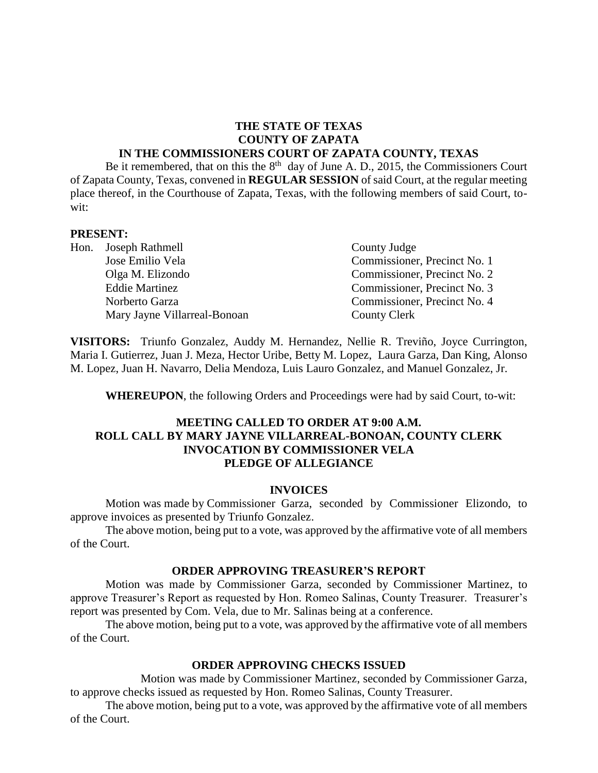#### **THE STATE OF TEXAS COUNTY OF ZAPATA IN THE COMMISSIONERS COURT OF ZAPATA COUNTY, TEXAS**

Be it remembered, that on this the  $8<sup>th</sup>$  day of June A. D., 2015, the Commissioners Court of Zapata County, Texas, convened in **REGULAR SESSION** of said Court, at the regular meeting place thereof, in the Courthouse of Zapata, Texas, with the following members of said Court, towit:

#### **PRESENT:**

| Hon. Joseph Rathmell         | County Judge                 |  |  |  |
|------------------------------|------------------------------|--|--|--|
| Jose Emilio Vela             | Commissioner, Precinct No. 1 |  |  |  |
| Olga M. Elizondo             | Commissioner, Precinct No. 2 |  |  |  |
| <b>Eddie Martinez</b>        | Commissioner, Precinct No. 3 |  |  |  |
| Norberto Garza               | Commissioner, Precinct No. 4 |  |  |  |
| Mary Jayne Villarreal-Bonoan | <b>County Clerk</b>          |  |  |  |

**VISITORS:** Triunfo Gonzalez, Auddy M. Hernandez, Nellie R. Treviño, Joyce Currington, Maria I. Gutierrez, Juan J. Meza, Hector Uribe, Betty M. Lopez, Laura Garza, Dan King, Alonso M. Lopez, Juan H. Navarro, Delia Mendoza, Luis Lauro Gonzalez, and Manuel Gonzalez, Jr.

**WHEREUPON**, the following Orders and Proceedings were had by said Court, to-wit:

#### **MEETING CALLED TO ORDER AT 9:00 A.M. ROLL CALL BY MARY JAYNE VILLARREAL-BONOAN, COUNTY CLERK INVOCATION BY COMMISSIONER VELA PLEDGE OF ALLEGIANCE**

#### **INVOICES**

Motion was made by Commissioner Garza, seconded by Commissioner Elizondo, to approve invoices as presented by Triunfo Gonzalez.

The above motion, being put to a vote, was approved by the affirmative vote of all members of the Court.

#### **ORDER APPROVING TREASURER'S REPORT**

Motion was made by Commissioner Garza, seconded by Commissioner Martinez, to approve Treasurer's Report as requested by Hon. Romeo Salinas, County Treasurer. Treasurer's report was presented by Com. Vela, due to Mr. Salinas being at a conference.

The above motion, being put to a vote, was approved by the affirmative vote of all members of the Court.

#### **ORDER APPROVING CHECKS ISSUED**

Motion was made by Commissioner Martinez, seconded by Commissioner Garza, to approve checks issued as requested by Hon. Romeo Salinas, County Treasurer.

The above motion, being put to a vote, was approved by the affirmative vote of all members of the Court.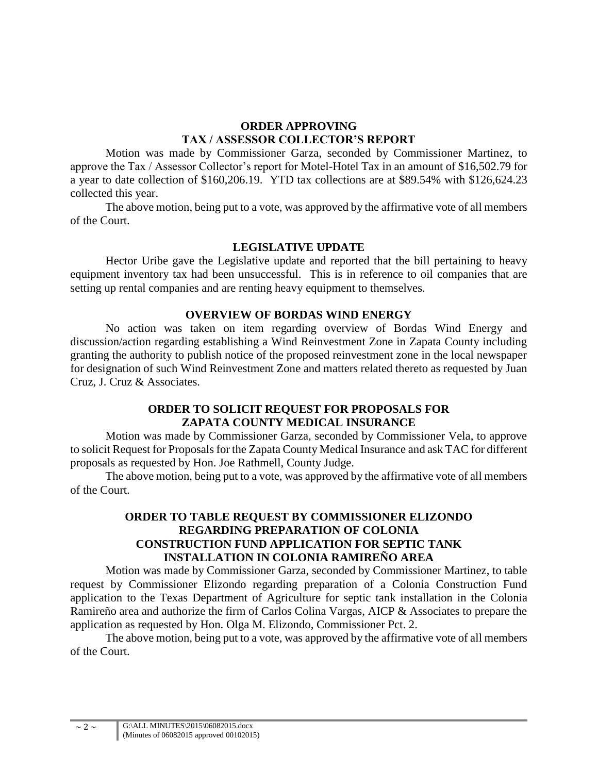## **ORDER APPROVING TAX / ASSESSOR COLLECTOR'S REPORT**

Motion was made by Commissioner Garza, seconded by Commissioner Martinez, to approve the Tax / Assessor Collector's report for Motel-Hotel Tax in an amount of \$16,502.79 for a year to date collection of \$160,206.19. YTD tax collections are at \$89.54% with \$126,624.23 collected this year.

The above motion, being put to a vote, was approved by the affirmative vote of all members of the Court.

#### **LEGISLATIVE UPDATE**

Hector Uribe gave the Legislative update and reported that the bill pertaining to heavy equipment inventory tax had been unsuccessful. This is in reference to oil companies that are setting up rental companies and are renting heavy equipment to themselves.

## **OVERVIEW OF BORDAS WIND ENERGY**

No action was taken on item regarding overview of Bordas Wind Energy and discussion/action regarding establishing a Wind Reinvestment Zone in Zapata County including granting the authority to publish notice of the proposed reinvestment zone in the local newspaper for designation of such Wind Reinvestment Zone and matters related thereto as requested by Juan Cruz, J. Cruz & Associates.

## **ORDER TO SOLICIT REQUEST FOR PROPOSALS FOR ZAPATA COUNTY MEDICAL INSURANCE**

Motion was made by Commissioner Garza, seconded by Commissioner Vela, to approve to solicit Request for Proposals for the Zapata County Medical Insurance and ask TAC for different proposals as requested by Hon. Joe Rathmell, County Judge.

The above motion, being put to a vote, was approved by the affirmative vote of all members of the Court.

### **ORDER TO TABLE REQUEST BY COMMISSIONER ELIZONDO REGARDING PREPARATION OF COLONIA CONSTRUCTION FUND APPLICATION FOR SEPTIC TANK INSTALLATION IN COLONIA RAMIREÑO AREA**

Motion was made by Commissioner Garza, seconded by Commissioner Martinez, to table request by Commissioner Elizondo regarding preparation of a Colonia Construction Fund application to the Texas Department of Agriculture for septic tank installation in the Colonia Ramireño area and authorize the firm of Carlos Colina Vargas, AICP & Associates to prepare the application as requested by Hon. Olga M. Elizondo, Commissioner Pct. 2.

The above motion, being put to a vote, was approved by the affirmative vote of all members of the Court.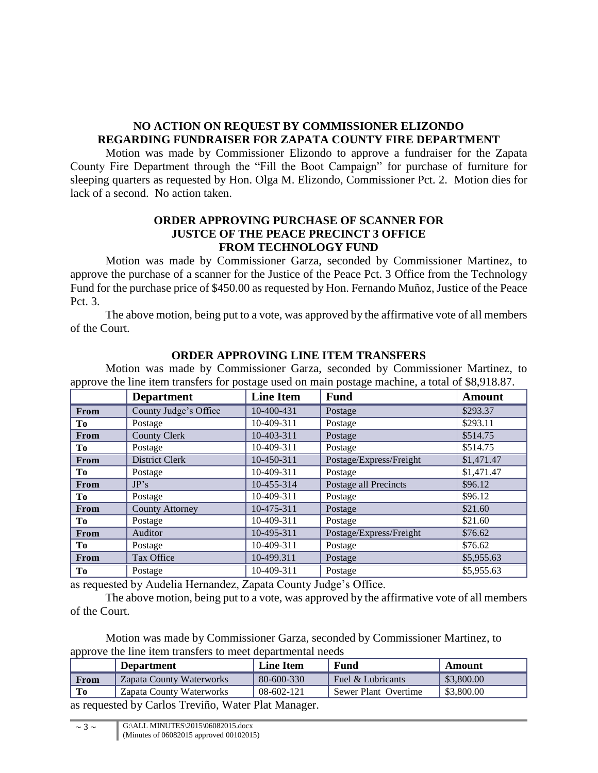# **NO ACTION ON REQUEST BY COMMISSIONER ELIZONDO REGARDING FUNDRAISER FOR ZAPATA COUNTY FIRE DEPARTMENT**

Motion was made by Commissioner Elizondo to approve a fundraiser for the Zapata County Fire Department through the "Fill the Boot Campaign" for purchase of furniture for sleeping quarters as requested by Hon. Olga M. Elizondo, Commissioner Pct. 2. Motion dies for lack of a second. No action taken.

## **ORDER APPROVING PURCHASE OF SCANNER FOR JUSTCE OF THE PEACE PRECINCT 3 OFFICE FROM TECHNOLOGY FUND**

Motion was made by Commissioner Garza, seconded by Commissioner Martinez, to approve the purchase of a scanner for the Justice of the Peace Pct. 3 Office from the Technology Fund for the purchase price of \$450.00 as requested by Hon. Fernando Muñoz, Justice of the Peace Pct. 3.

The above motion, being put to a vote, was approved by the affirmative vote of all members of the Court.

|      | <b>Department</b>      | <b>Line Item</b> | <b>Fund</b>             | <b>Amount</b> |
|------|------------------------|------------------|-------------------------|---------------|
| From | County Judge's Office  | 10-400-431       | Postage                 | \$293.37      |
| Tо   | Postage                | 10-409-311       | Postage                 | \$293.11      |
| From | <b>County Clerk</b>    | 10-403-311       | Postage                 | \$514.75      |
| Tо   | Postage                | 10-409-311       | Postage                 | \$514.75      |
| From | District Clerk         | 10-450-311       | Postage/Express/Freight | \$1,471.47    |
| Tо   | Postage                | 10-409-311       | Postage                 | \$1,471.47    |
| From | JP's                   | 10-455-314       | Postage all Precincts   | \$96.12       |
| Tо   | Postage                | 10-409-311       | Postage                 | \$96.12       |
| From | <b>County Attorney</b> | 10-475-311       | Postage                 | \$21.60       |
| Tо   | Postage                | 10-409-311       | Postage                 | \$21.60       |
| From | Auditor                | 10-495-311       | Postage/Express/Freight | \$76.62       |
| Tо   | Postage                | 10-409-311       | Postage                 | \$76.62       |
| From | Tax Office             | 10-499.311       | Postage                 | \$5,955.63    |
| Tо   | Postage                | 10-409-311       | Postage                 | \$5,955.63    |

# **ORDER APPROVING LINE ITEM TRANSFERS**

Motion was made by Commissioner Garza, seconded by Commissioner Martinez, to approve the line item transfers for postage used on main postage machine, a total of \$8,918.87.

as requested by Audelia Hernandez, Zapata County Judge's Office.

The above motion, being put to a vote, was approved by the affirmative vote of all members of the Court.

Motion was made by Commissioner Garza, seconded by Commissioner Martinez, to approve the line item transfers to meet departmental needs

| __                                              | <b>Department</b>        | Line Item  | Fund                 | Amount     |  |  |
|-------------------------------------------------|--------------------------|------------|----------------------|------------|--|--|
| From                                            | Zapata County Waterworks | 80-600-330 | Fuel & Lubricants    | \$3,800.00 |  |  |
| То                                              | Zapata County Waterworks | 08-602-121 | Sewer Plant Overtime | \$3,800.00 |  |  |
| $\sim$ 11 $\sigma$ 1 $\pi$ $\sim$ $\pi$ , $\pi$ |                          |            |                      |            |  |  |

as requested by Carlos Treviño, Water Plat Manager.